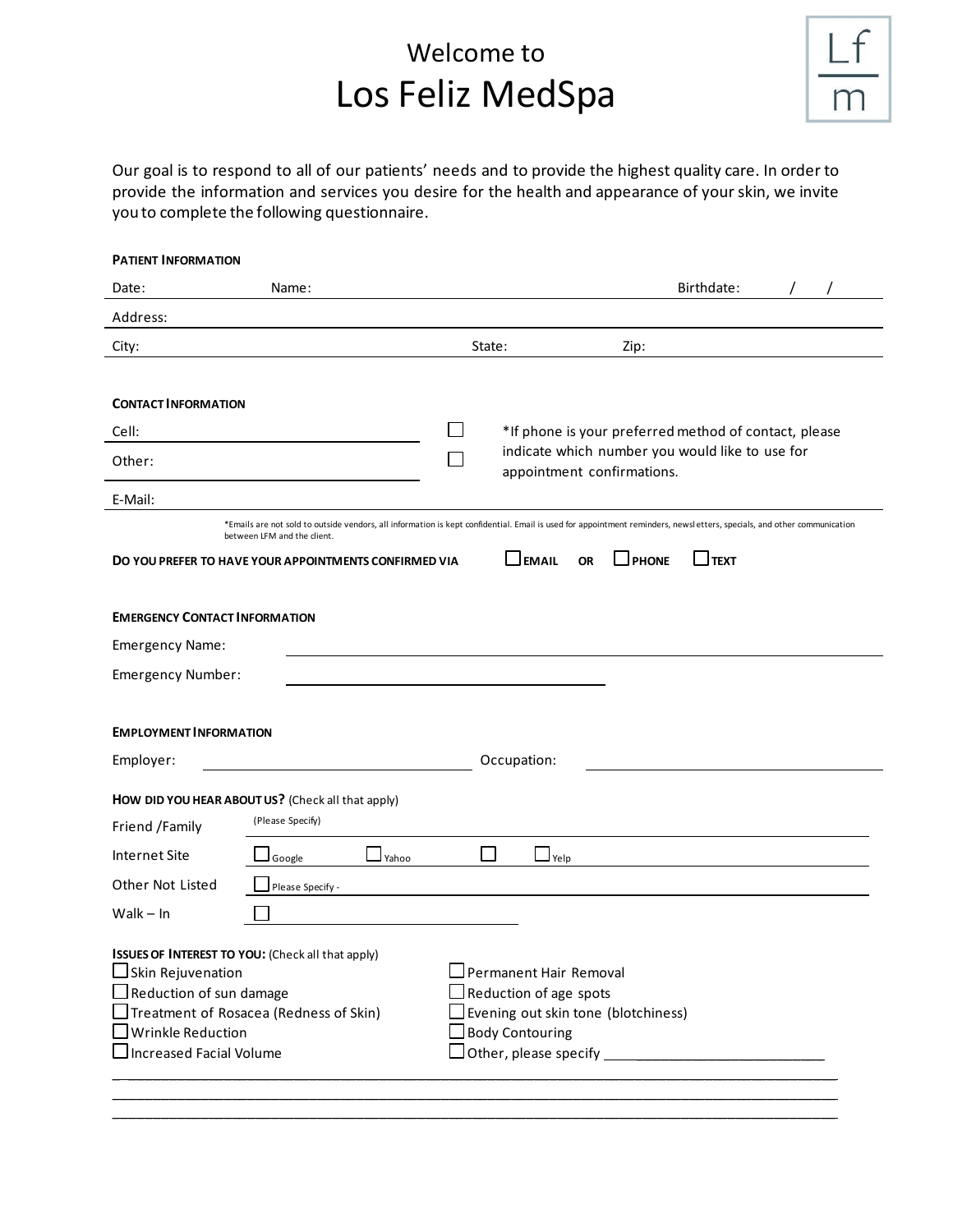# Welcome to Los Feliz MedSpa

Our goal is to respond to all of our patients' needs and to provide the highest quality care. In order to provide the information and services you desire for the health and appearance of your skin, we invite you to complete the following questionnaire.

| <b>PATIENT INFORMATION</b>                                                                         |                                                                                                                                                                                                       |                                                                               |                    |              |                  |  |  |
|----------------------------------------------------------------------------------------------------|-------------------------------------------------------------------------------------------------------------------------------------------------------------------------------------------------------|-------------------------------------------------------------------------------|--------------------|--------------|------------------|--|--|
| Date:                                                                                              | Name:                                                                                                                                                                                                 |                                                                               |                    |              | Birthdate:       |  |  |
| Address:                                                                                           |                                                                                                                                                                                                       |                                                                               |                    |              |                  |  |  |
| City:                                                                                              |                                                                                                                                                                                                       | State:                                                                        |                    | Zip:         |                  |  |  |
|                                                                                                    |                                                                                                                                                                                                       |                                                                               |                    |              |                  |  |  |
| <b>CONTACT INFORMATION</b>                                                                         |                                                                                                                                                                                                       |                                                                               |                    |              |                  |  |  |
| Cell:                                                                                              |                                                                                                                                                                                                       | *If phone is your preferred method of contact, please                         |                    |              |                  |  |  |
| Other:                                                                                             |                                                                                                                                                                                                       | indicate which number you would like to use for<br>appointment confirmations. |                    |              |                  |  |  |
| E-Mail:                                                                                            |                                                                                                                                                                                                       |                                                                               |                    |              |                  |  |  |
|                                                                                                    | *Emails are not sold to outside vendors, all information is kept confidential. Email is used for appointment reminders, newsletters, specials, and other communication<br>between LFM and the client. |                                                                               |                    |              |                  |  |  |
|                                                                                                    | DO YOU PREFER TO HAVE YOUR APPOINTMENTS CONFIRMED VIA                                                                                                                                                 |                                                                               | EMAIL<br><b>OR</b> | <b>DHONE</b> | $\lrcorner$ TEXT |  |  |
|                                                                                                    |                                                                                                                                                                                                       |                                                                               |                    |              |                  |  |  |
| <b>EMERGENCY CONTACT INFORMATION</b>                                                               |                                                                                                                                                                                                       |                                                                               |                    |              |                  |  |  |
| Emergency Name:                                                                                    |                                                                                                                                                                                                       |                                                                               |                    |              |                  |  |  |
| Emergency Number:                                                                                  |                                                                                                                                                                                                       |                                                                               |                    |              |                  |  |  |
|                                                                                                    |                                                                                                                                                                                                       |                                                                               |                    |              |                  |  |  |
| <b>EMPLOYMENT INFORMATION</b>                                                                      |                                                                                                                                                                                                       |                                                                               |                    |              |                  |  |  |
| Employer:                                                                                          |                                                                                                                                                                                                       |                                                                               | Occupation:        |              |                  |  |  |
|                                                                                                    | HOW DID YOU HEAR ABOUT US? (Check all that apply)                                                                                                                                                     |                                                                               |                    |              |                  |  |  |
| Friend /Family                                                                                     | (Please Specify)                                                                                                                                                                                      |                                                                               |                    |              |                  |  |  |
| Internet Site                                                                                      | Yahoo<br>Google                                                                                                                                                                                       |                                                                               | Yelp               |              |                  |  |  |
| Other Not Listed                                                                                   | Please Specify -                                                                                                                                                                                      |                                                                               |                    |              |                  |  |  |
| Walk $-$ In                                                                                        |                                                                                                                                                                                                       |                                                                               |                    |              |                  |  |  |
|                                                                                                    |                                                                                                                                                                                                       |                                                                               |                    |              |                  |  |  |
| ISSUES OF INTEREST TO YOU: (Check all that apply)<br>□ Skin Rejuvenation<br>Permanent Hair Removal |                                                                                                                                                                                                       |                                                                               |                    |              |                  |  |  |
| $\Box$ Reduction of sun damage<br>Reduction of age spots                                           |                                                                                                                                                                                                       |                                                                               |                    |              |                  |  |  |
| JTreatment of Rosacea (Redness of Skin)<br>Evening out skin tone (blotchiness)                     |                                                                                                                                                                                                       |                                                                               |                    |              |                  |  |  |
| $\rfloor$ Wrinkle Reduction<br><b>Body Contouring</b><br>$\Box$ Increased Facial Volume            |                                                                                                                                                                                                       |                                                                               |                    |              |                  |  |  |
|                                                                                                    |                                                                                                                                                                                                       |                                                                               |                    |              |                  |  |  |
|                                                                                                    |                                                                                                                                                                                                       |                                                                               |                    |              |                  |  |  |

\_\_\_\_\_\_\_\_\_\_\_\_\_\_\_\_\_\_\_\_\_\_\_\_\_\_\_\_\_\_\_\_\_\_\_\_\_\_\_\_\_\_\_\_\_\_\_\_\_\_\_\_\_\_\_\_\_\_\_\_\_\_\_\_\_\_\_\_\_\_\_\_\_\_\_\_\_\_\_\_\_\_\_\_\_\_\_\_\_\_\_\_\_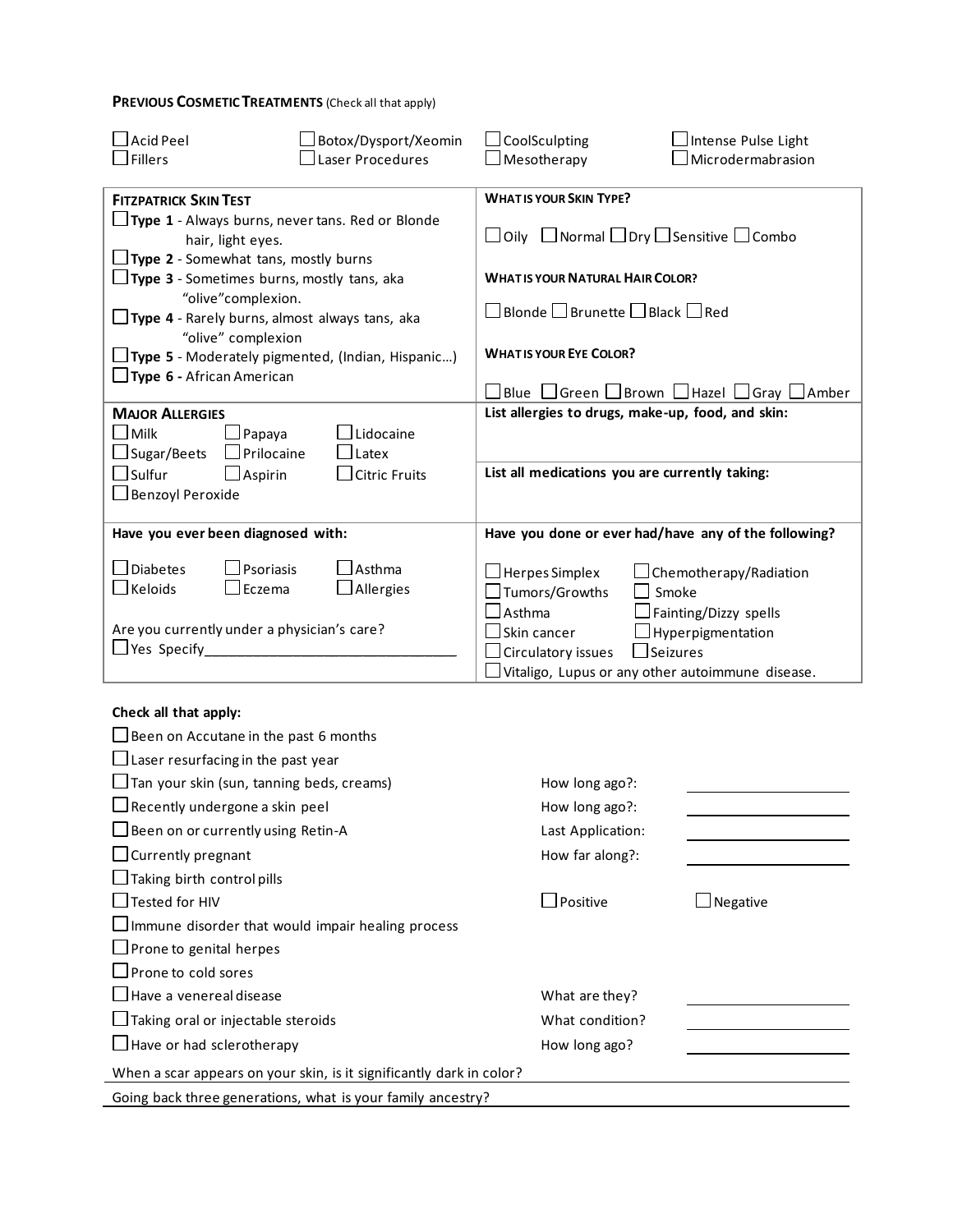## **PREVIOUS COSMETIC TREATMENTS** (Check all that apply)

| <b>Acid Peel</b>                                                                                  | Botox/Dysport/Xeomin                                     | $\Box$ CoolSculpting<br>Intense Pulse Light                                                                                                                                                  |  |  |  |  |
|---------------------------------------------------------------------------------------------------|----------------------------------------------------------|----------------------------------------------------------------------------------------------------------------------------------------------------------------------------------------------|--|--|--|--|
| Fillers                                                                                           | Laser Procedures                                         | $\perp$ Microdermabrasion<br>$\Box$ Mesotherapy                                                                                                                                              |  |  |  |  |
| <b>FITZPATRICK SKIN TEST</b>                                                                      |                                                          | <b>WHAT IS YOUR SKIN TYPE?</b>                                                                                                                                                               |  |  |  |  |
| hair, light eyes.<br>$\Box$ Type 2 - Somewhat tans, mostly burns                                  | $\Box$ Type 1 - Always burns, never tans. Red or Blonde  | $\Box$ Oily $\Box$ Normal $\Box$ Dry $\Box$ Sensitive $\Box$ Combo                                                                                                                           |  |  |  |  |
| $\Box$ Type 3 - Sometimes burns, mostly tans, aka                                                 |                                                          | <b>WHAT IS YOUR NATURAL HAIR COLOR?</b>                                                                                                                                                      |  |  |  |  |
| "olive"complexion.<br>$\Box$ Type 4 - Rarely burns, almost always tans, aka<br>"olive" complexion |                                                          | $\square$ Blonde $\square$ Brunette $\square$ Black $\square$ Red                                                                                                                            |  |  |  |  |
|                                                                                                   | $\Box$ Type 5 - Moderately pigmented, (Indian, Hispanic) | <b>WHAT IS YOUR EYE COLOR?</b>                                                                                                                                                               |  |  |  |  |
| $\Box$ Type 6 - African American                                                                  |                                                          | $\Box$ Blue $\Box$ Green $\Box$ Brown $\Box$ Hazel $\Box$ Gray $\Box$ Amber                                                                                                                  |  |  |  |  |
| <b>MAJOR ALLERGIES</b>                                                                            |                                                          | List allergies to drugs, make-up, food, and skin:                                                                                                                                            |  |  |  |  |
| $\lrcorner$ Milk<br>JPapaya<br>$\sqcup$ Sugar/Beets<br>$\Box$ Prilocaine                          | Lidocaine<br>Latex                                       |                                                                                                                                                                                              |  |  |  |  |
| $\Box$ Sulfur<br>$\Box$ Aspirin                                                                   | <b>Citric Fruits</b>                                     | List all medications you are currently taking:                                                                                                                                               |  |  |  |  |
| □ Benzoyl Peroxide                                                                                |                                                          |                                                                                                                                                                                              |  |  |  |  |
|                                                                                                   |                                                          |                                                                                                                                                                                              |  |  |  |  |
| Have you ever been diagnosed with:                                                                |                                                          | Have you done or ever had/have any of the following?                                                                                                                                         |  |  |  |  |
| Diabetes<br>Psoriasis<br>$\Box$ Keloids<br>Eczema                                                 | Asthma<br>Allergies                                      | $\Box$ Herpes Simplex<br>Chemotherapy/Radiation<br>Tumors/Growths<br>Smoke                                                                                                                   |  |  |  |  |
| Are you currently under a physician's care?<br>$\Box$ Yes Specify                                 |                                                          | <b>Asthma</b><br>Fainting/Dizzy spells<br>$\Box$ Skin cancer<br>Hyperpigmentation<br>$\Box$ Seizures<br>$\Box$ Circulatory issues<br>$\Box$ Vitaligo, Lupus or any other autoimmune disease. |  |  |  |  |
|                                                                                                   |                                                          |                                                                                                                                                                                              |  |  |  |  |

#### **Check all that apply:**

| $\Box$ Been on Accutane in the past 6 months                         |                                  |          |
|----------------------------------------------------------------------|----------------------------------|----------|
| $\Box$ Laser resurfacing in the past year                            |                                  |          |
| $\Box$ Tan your skin (sun, tanning beds, creams)                     | How long ago?:                   |          |
| $\Box$ Recently undergone a skin peel                                | How long ago?:                   |          |
| $\Box$ Been on or currently using Retin-A                            | Last Application:                |          |
| $\Box$ Currently pregnant                                            | How far along?:                  |          |
| $\Box$ Taking birth control pills                                    |                                  |          |
| Tested for HIV                                                       | $\mathsf{\mathsf{\bot}$ Positive | Negative |
| $\Box$ Immune disorder that would impair healing process             |                                  |          |
| $\Box$ Prone to genital herpes                                       |                                  |          |
| $\Box$ Prone to cold sores                                           |                                  |          |
| $\Box$ Have a venereal disease                                       | What are they?                   |          |
| $\Box$ Taking oral or injectable steroids                            | What condition?                  |          |
| $\Box$ Have or had sclerotherapy                                     | How long ago?                    |          |
| When a scar appears on your skin, is it significantly dark in color? |                                  |          |
| Going back three generations, what is your family ancestry?          |                                  |          |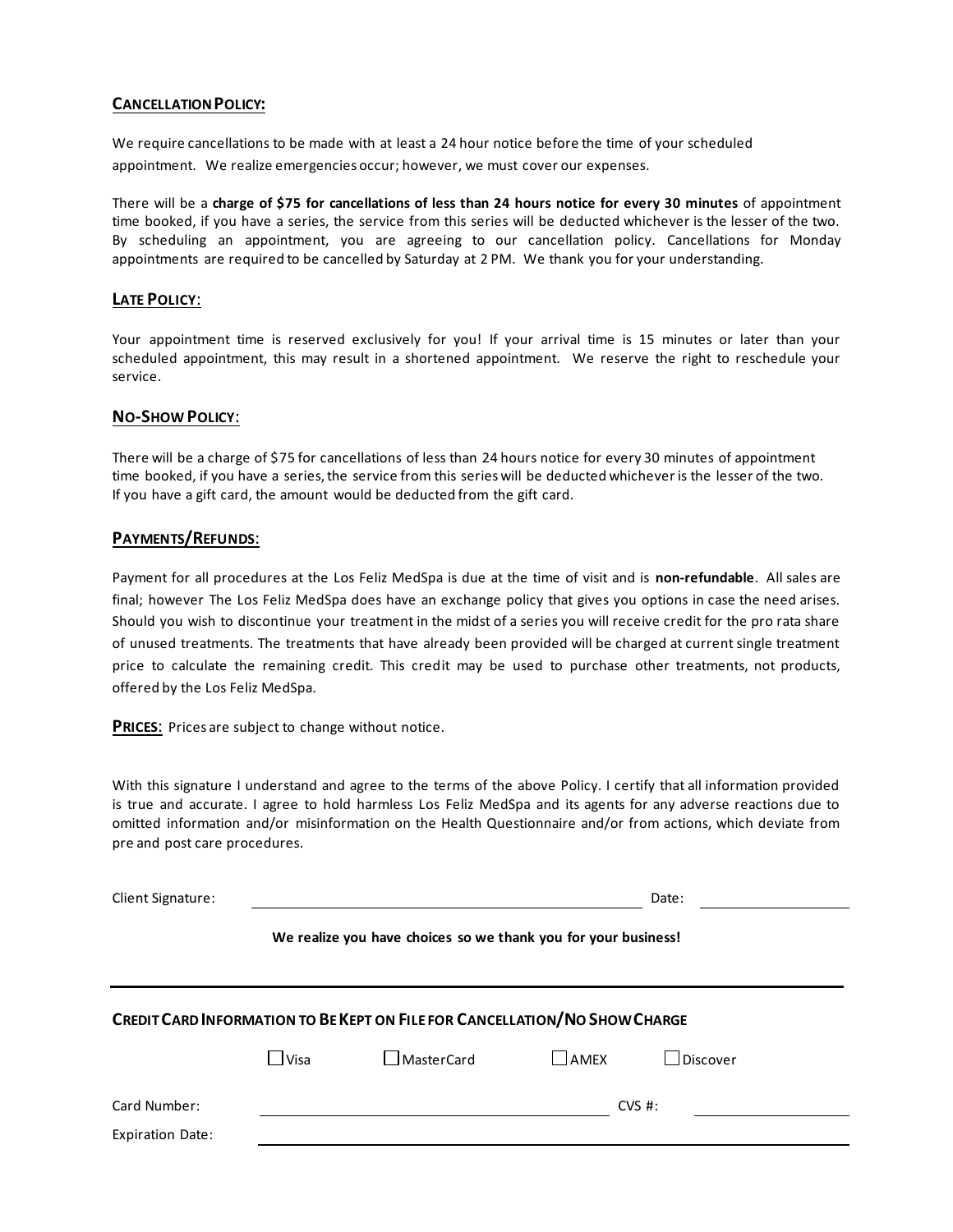#### **CANCELLATION POLICY:**

We require cancellations to be made with at least a 24 hour notice before the time of your scheduled appointment. We realize emergencies occur; however, we must cover our expenses.

There will be a **charge of \$75 for cancellations of less than 24 hours notice for every 30 minutes** of appointment time booked, if you have a series, the service from this series will be deducted whichever is the lesser of the two. By scheduling an appointment, you are agreeing to our cancellation policy. Cancellations for Monday appointments are required to be cancelled by Saturday at 2 PM. We thank you for your understanding.

#### **LATE POLICY**:

Your appointment time is reserved exclusively for you! If your arrival time is 15 minutes or later than your scheduled appointment, this may result in a shortened appointment. We reserve the right to reschedule your service.

#### **NO-SHOW POLICY**:

There will be a charge of \$75 for cancellations of less than 24 hours notice for every 30 minutes of appointment time booked, if you have a series, the service from this series will be deducted whichever is the lesser of the two. If you have a gift card, the amount would be deducted from the gift card.

#### **PAYMENTS/REFUNDS**:

Payment for all procedures at the Los Feliz MedSpa is due at the time of visit and is **non-refundable**. All sales are final; however The Los Feliz MedSpa does have an exchange policy that gives you options in case the need arises. Should you wish to discontinue your treatment in the midst of a series you will receive credit for the pro rata share of unused treatments. The treatments that have already been provided will be charged at current single treatment price to calculate the remaining credit. This credit may be used to purchase other treatments, not products, offered by the Los Feliz MedSpa.

**PRICES**: Prices are subject to change without notice.

With this signature I understand and agree to the terms of the above Policy. I certify that all information provided is true and accurate. I agree to hold harmless Los Feliz MedSpa and its agents for any adverse reactions due to omitted information and/or misinformation on the Health Questionnaire and/or from actions, which deviate from pre and post care procedures.

| <b>Client Signature:</b>                                                          |             |            |                  | Date:           |  |  |  |
|-----------------------------------------------------------------------------------|-------------|------------|------------------|-----------------|--|--|--|
| We realize you have choices so we thank you for your business!                    |             |            |                  |                 |  |  |  |
| <b>CREDIT CARD INFORMATION TO BE KEPT ON FILE FOR CANCELLATION/NO SHOW CHARGE</b> |             |            |                  |                 |  |  |  |
|                                                                                   | $\Box$ Visa | MasterCard | $\bigsqcup$ amex | $\Box$ Discover |  |  |  |
| Card Number:<br><b>Expiration Date:</b>                                           |             |            |                  | $CVS$ #:        |  |  |  |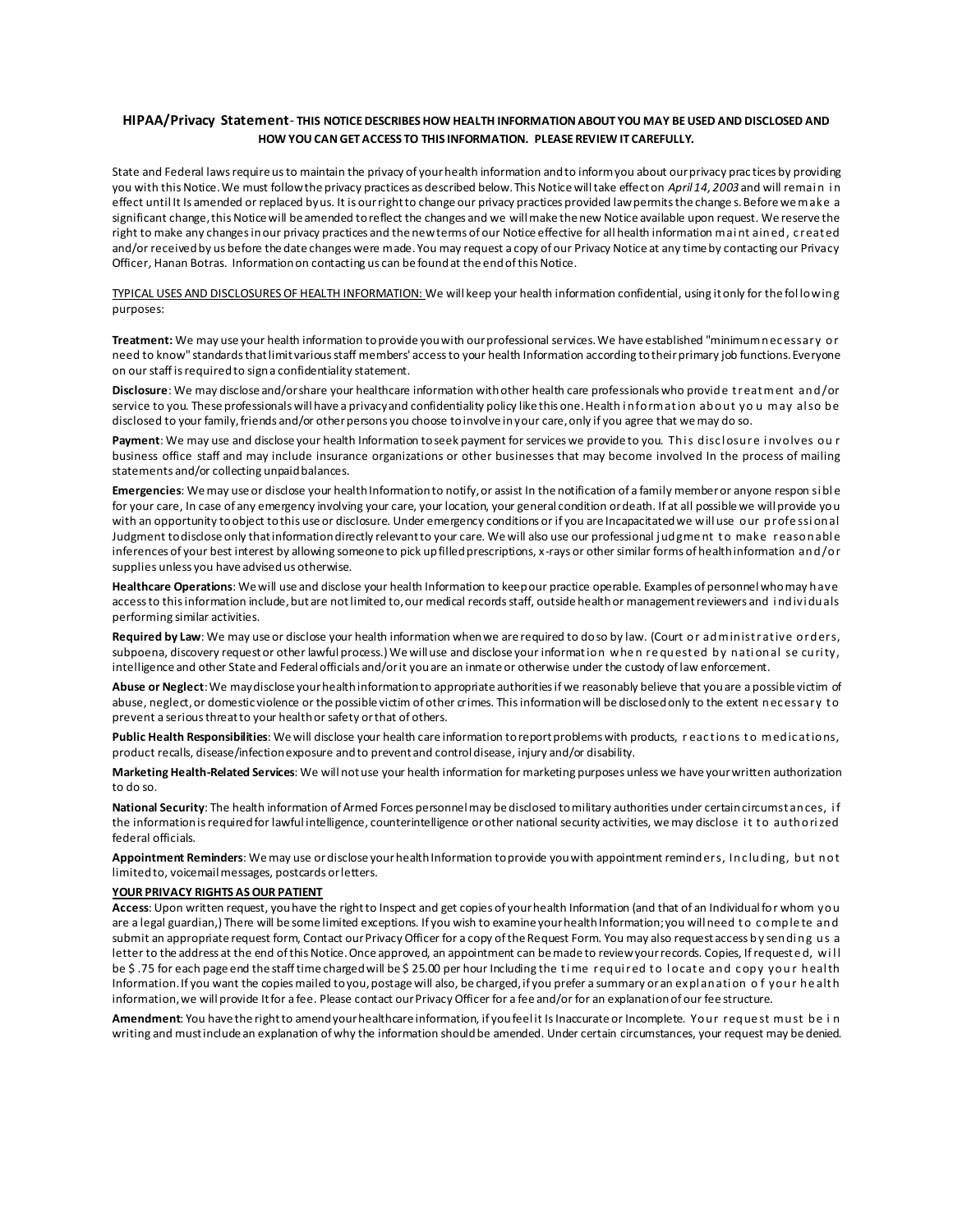#### **HIPAA/Privacy Statement**- **THIS NOTICE DESCRIBES HOW HEALTH INFORMATION ABOUT YOU MAY BE USED AND DISCLOSED AND HOW YOU CAN GET ACCESS TO THIS INFORMATION. PLEASE REVIEW IT CAREFULLY.**

State and Federal laws require us to maintain the privacy of your health information and to inform you about our privacy prac tices by providing you with this Notice. We must follow the privacy practices as described below. This Notice will take effect on April 14, 2003 and will remain in effect until It Is amended or replaced by us. It is our right to change our privacy practices provided law permits the change s. Before we make a significant change, this Notice will be amended to reflect the changes and we will make the new Notice available upon request. We reserve the right to make any changes in our privacy practices and the new terms of our Notice effective for all health information mai nt ained, c reat ed and/or received by us before the date changes were made. You may request a copy of our Privacy Notice at any time by contacting our Privacy Officer, Hanan Botras. Information on contacting us can be found at the end of this Notice.

TYPICAL USES AND DISCLOSURES OF HEALTH INFORMATION: We will keep your health information confidential, using it only for the fol lowing purposes:

**Treatment:** We may use your health information to provide you with our professional services. We have established "minimum nec essary or need to know" standards that limit various staff members' access to your health Information according to their primary job functions. Everyone on our staff is required to sign a confidentiality statement.

**Disclosure**: We may disclose and/or share your healthcare information with other health care professionals who provide t reat ment and/or service to you. These professionals will have a privacy and confidentiality policy like this one. Health i nformat ion about yo u may al so be disclosed to your family, friends and/or other persons you choose to involve in your care, only if you agree that we may do so.

Payment: We may use and disclose your health Information to seek payment for services we provide to you. This disclosure involves our business office staff and may include insurance organizations or other businesses that may become involved In the process of mailing statements and/or collecting unpaid balances.

**Emergencies**: We may use or disclose your health Information to notify, or assist In the notification of a family member or anyone respon si bl e for your care, In case of any emergency involving your care, your location, your general condition or death. If at all possible we will provide you with an opportunity to object to this use or disclosure. Under emergency conditions or if you are Incapacitated we will use our profe ssi onal Judgment to disclose only that information directly relevant to your care. We will also use our professional judgment to make reasonable inferences of your best interest by allowing someone to pick up filled prescriptions, x-rays or other similar forms of health information and/or supplies unless you have advised us otherwise.

**Healthcare Operations**: We will use and disclose your health Information to keep our practice operable. Examples of personnel who may have access to this information include, but are not limited to, our medical records staff, outside health or management reviewers and i ndivi duals performing similar activities.

Required by Law: We may use or disclose your health information when we are required to do so by law. (Court or administ rative orders, subpoena, discovery request or other lawful process.) We will use and disclose your information when requested by national se curity, intelligence and other State and Federal officials and/or it you are an inmate or otherwise under the custody of law enforcement.

**Abuse or Neglect**: We may disclose your health information to appropriate authorities if we reasonably believe that you are a possible victim of abuse, neglect, or domestic violence or the possible victim of other crimes. This information will be disclosed only to the extent necessary to prevent a serious threat to your health or safety or that of others.

Public Health Responsibilities: We will disclose your health care information to report problems with products, reactions to medications, product recalls, disease/infection exposure and to prevent and control disease, injury and/or disability.

**Marketing Health-Related Services**: We will not use your health information for marketing purposes unless we have your written authorization to do so.

**National Security**: The health information of Armed Forces personnel may be disclosed to military authorities under certain circumst ances, i f the information is required for lawful intelligence, counterintelligence or other national security activities, we may disclose i t t o authori zed federal officials.

**Appointment Reminders**: We may use or disclose your health Information to provide you with appointment reminders, Inc ludi ng, but not limited to, voicemail messages, postcards or letters.

#### **YOUR PRIVACY RIGHTS AS OUR PATIENT**

**Access**: Upon written request, you have the right to Inspect and get copies of your health Information (and that of an Individual for whom you are a legal guardian,) There will be some limited exceptions. If you wish to examine your health Information; you will need to complete and submit an appropriate request form, Contact our Privacy Officer for a copy of the Request Form. You may also request access by sending us a letter to the address at the end of this Notice. Once approved, an appointment can be made to review your records. Copies, If requested, will be \$.75 for each page end the staff time charged will be \$25.00 per hour Including the time required to locate and copy your heal th Information. If you want the copies mailed to you, postage will also, be charged, if you prefer a summary or an expl anati on o f your he alt h information, we will provide It for a fee. Please contact our Privacy Officer for a fee and/or for an explanation of our fee structure.

**Amendment**: You have the right to amend your healthcare information, if you feel it Is Inaccurate or Incomplete. Your reque st must be i n writing and must include an explanation of why the information should be amended. Under certain circumstances, your request may be denied.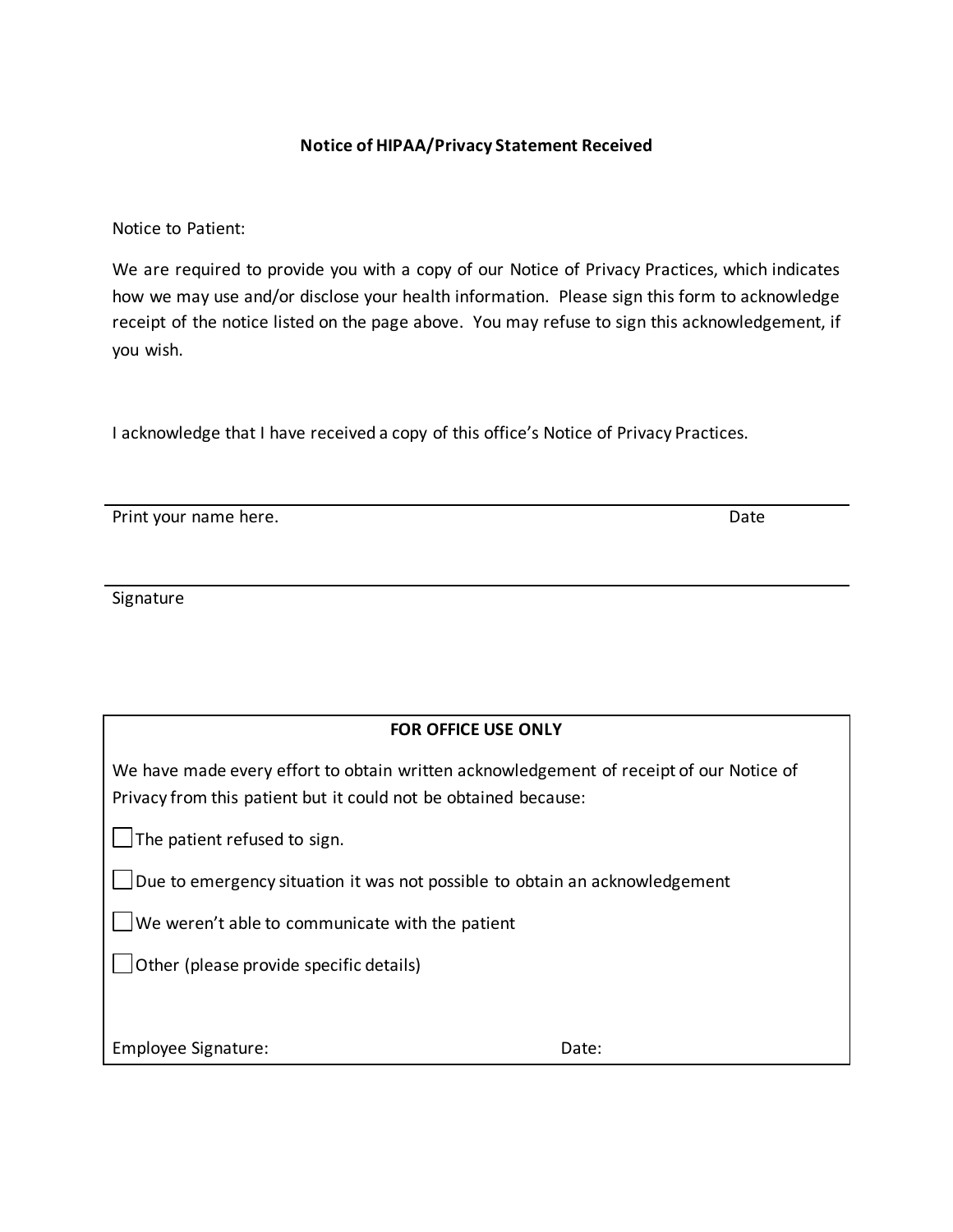### **Notice of HIPAA/Privacy Statement Received**

Notice to Patient:

We are required to provide you with a copy of our Notice of Privacy Practices, which indicates how we may use and/or disclose your health information. Please sign this form to acknowledge receipt of the notice listed on the page above. You may refuse to sign this acknowledgement, if you wish.

I acknowledge that I have received a copy of this office's Notice of Privacy Practices.

Print your name here. **Date** and the set of the set of the set of the set of the set of the set of the set of the set of the set of the set of the set of the set of the set of the set of the set of the set of the set of th

Signature

We have made every effort to obtain written acknowledgement of receipt of our Notice of Privacy from this patient but it could not be obtained because:

 $\Box$  The patient refused to sign.

Due to emergency situation it was not possible to obtain an acknowledgement

 $\Box$ We weren't able to communicate with the patient

 $\Box$  Other (please provide specific details)

Employee Signature:  $\blacksquare$